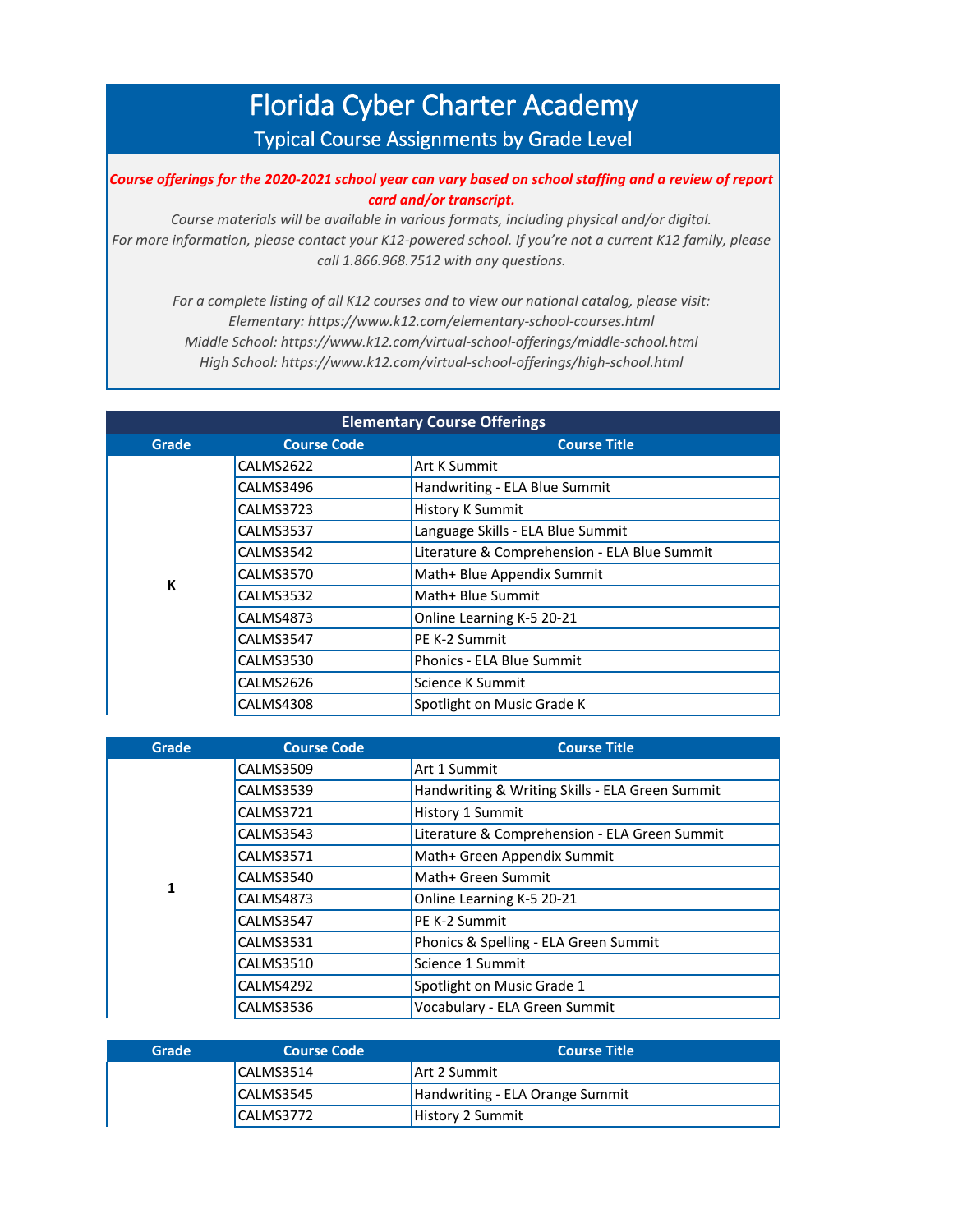## Florida Cyber Charter Academy Typical Course Assignments by Grade Level

*Course offerings for the 2020-2021 school year can vary based on school staffing and a review of report card and/or transcript.* 

*Course materials will be available in various formats, including physical and/or digital. For more information, please contact your K12-powered school. If you're not a current K12 family, please call 1.866.968.7512 with any questions.*

*For a complete listing of all K12 courses and to view our national catalog, please visit: Elementary: https://www.k12.com/elementary-school-courses.html Middle School: https://www.k12.com/virtual-school-offerings/middle-school.html High School: https://www.k12.com/virtual-school-offerings/high-school.html*

| <b>Elementary Course Offerings</b> |                    |                                              |
|------------------------------------|--------------------|----------------------------------------------|
| Grade                              | <b>Course Code</b> | <b>Course Title</b>                          |
|                                    | CALMS2622          | <b>Art K Summit</b>                          |
|                                    | CALMS3496          | Handwriting - ELA Blue Summit                |
|                                    | <b>CALMS3723</b>   | <b>History K Summit</b>                      |
|                                    | <b>CALMS3537</b>   | Language Skills - ELA Blue Summit            |
|                                    | CALMS3542          | Literature & Comprehension - ELA Blue Summit |
| K                                  | CALMS3570          | Math+ Blue Appendix Summit                   |
|                                    | CALMS3532          | Math+ Blue Summit                            |
|                                    | CALMS4873          | Online Learning K-5 20-21                    |
|                                    | CALMS3547          | PE K-2 Summit                                |
|                                    | <b>CALMS3530</b>   | Phonics - ELA Blue Summit                    |
|                                    | CALMS2626          | Science K Summit                             |
|                                    | CALMS4308          | Spotlight on Music Grade K                   |

| Grade | <b>Course Code</b> | <b>Course Title</b>                             |
|-------|--------------------|-------------------------------------------------|
|       | <b>CALMS3509</b>   | Art 1 Summit                                    |
|       | <b>CALMS3539</b>   | Handwriting & Writing Skills - ELA Green Summit |
|       | <b>CALMS3721</b>   | History 1 Summit                                |
|       | <b>CALMS3543</b>   | Literature & Comprehension - ELA Green Summit   |
|       | <b>CALMS3571</b>   | Math+ Green Appendix Summit                     |
| 1     | CALMS3540          | Math+ Green Summit                              |
|       | <b>CALMS4873</b>   | Online Learning K-5 20-21                       |
|       | CALMS3547          | PE K-2 Summit                                   |
|       | <b>CALMS3531</b>   | Phonics & Spelling - ELA Green Summit           |
|       | <b>CALMS3510</b>   | Science 1 Summit                                |
|       | CALMS4292          | Spotlight on Music Grade 1                      |
|       | CALMS3536          | Vocabulary - ELA Green Summit                   |

| Grade | <b>Course Code</b> | <b>Course Title</b>             |
|-------|--------------------|---------------------------------|
|       | CALMS3514          | Art 2 Summit                    |
|       | CALMS3545          | Handwriting - ELA Orange Summit |
|       | CALMS3772          | <b>History 2 Summit</b>         |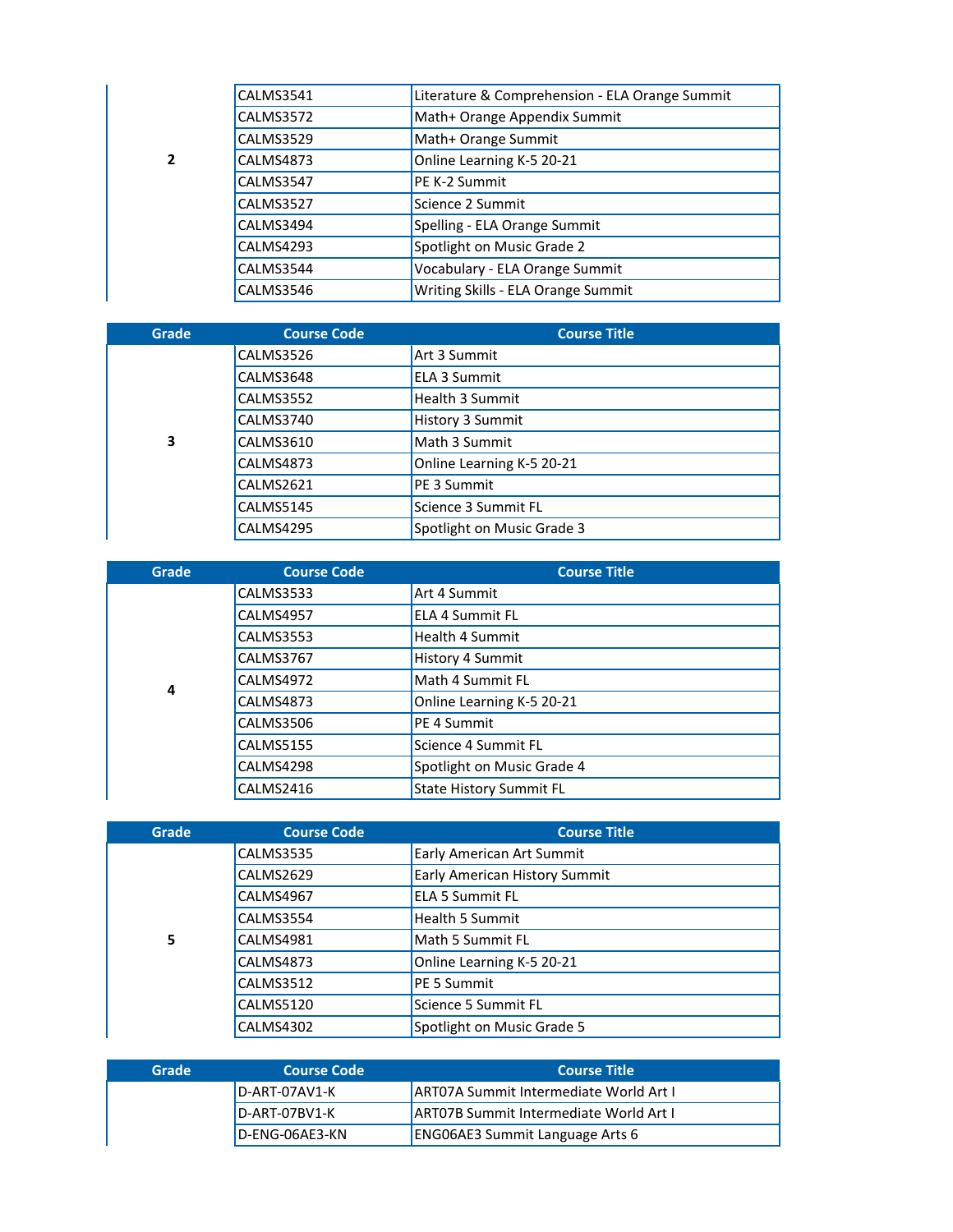|               | CALMS3541 | Literature & Comprehension - ELA Orange Summit |
|---------------|-----------|------------------------------------------------|
|               | CALMS3572 | Math+ Orange Appendix Summit                   |
|               | CALMS3529 | Math+ Orange Summit                            |
| $\mathfrak z$ | CALMS4873 | Online Learning K-5 20-21                      |
|               | CALMS3547 | PE K-2 Summit                                  |
|               | CALMS3527 | Science 2 Summit                               |
|               | CALMS3494 | Spelling - ELA Orange Summit                   |
|               | CALMS4293 | Spotlight on Music Grade 2                     |
|               | CALMS3544 | Vocabulary - ELA Orange Summit                 |
|               | CALMS3546 | Writing Skills - ELA Orange Summit             |

| Grade | <b>Course Code</b> | <b>Course Title</b>        |
|-------|--------------------|----------------------------|
|       | CALMS3526          | Art 3 Summit               |
|       | CALMS3648          | <b>ELA 3 Summit</b>        |
|       | CALMS3552          | Health 3 Summit            |
|       | CALMS3740          | History 3 Summit           |
| 3     | CALMS3610          | Math 3 Summit              |
|       | CALMS4873          | Online Learning K-5 20-21  |
|       | CALMS2621          | <b>PE 3 Summit</b>         |
|       | CALMS5145          | Science 3 Summit FL        |
|       | CALMS4295          | Spotlight on Music Grade 3 |

| Grade | <b>Course Code</b> | <b>Course Title</b>            |
|-------|--------------------|--------------------------------|
|       | CALMS3533          | Art 4 Summit                   |
|       | CALMS4957          | <b>ELA 4 Summit FL</b>         |
|       | <b>CALMS3553</b>   | <b>Health 4 Summit</b>         |
|       | <b>CALMS3767</b>   | History 4 Summit               |
| 4     | CALMS4972          | Math 4 Summit FL               |
|       | <b>CALMS4873</b>   | Online Learning K-5 20-21      |
|       | <b>CALMS3506</b>   | PE 4 Summit                    |
|       | <b>CALMS5155</b>   | Science 4 Summit FL            |
|       | CALMS4298          | Spotlight on Music Grade 4     |
|       | CALMS2416          | <b>State History Summit FL</b> |

| Grade | <b>Course Code</b> | <b>Course Title</b>           |
|-------|--------------------|-------------------------------|
|       | <b>CALMS3535</b>   | Early American Art Summit     |
|       | CALMS2629          | Early American History Summit |
|       | CALMS4967          | <b>ELA 5 Summit FL</b>        |
|       | CALMS3554          | <b>Health 5 Summit</b>        |
| 5     | CALMS4981          | Math 5 Summit FL              |
|       | CALMS4873          | Online Learning K-5 20-21     |
|       | CALMS3512          | PE 5 Summit                   |
|       | CALMS5120          | Science 5 Summit FL           |
|       | CALMS4302          | Spotlight on Music Grade 5    |

| Grade | <b>Course Code</b> | <b>Course Title</b>                            |
|-------|--------------------|------------------------------------------------|
|       | D-ART-07AV1-K      | <b>JART07A Summit Intermediate World Art I</b> |
|       | D-ART-07BV1-K      | <b>JART07B Summit Intermediate World Art I</b> |
|       | D-ENG-06AE3-KN     | <b>ENGO6AE3 Summit Language Arts 6</b>         |